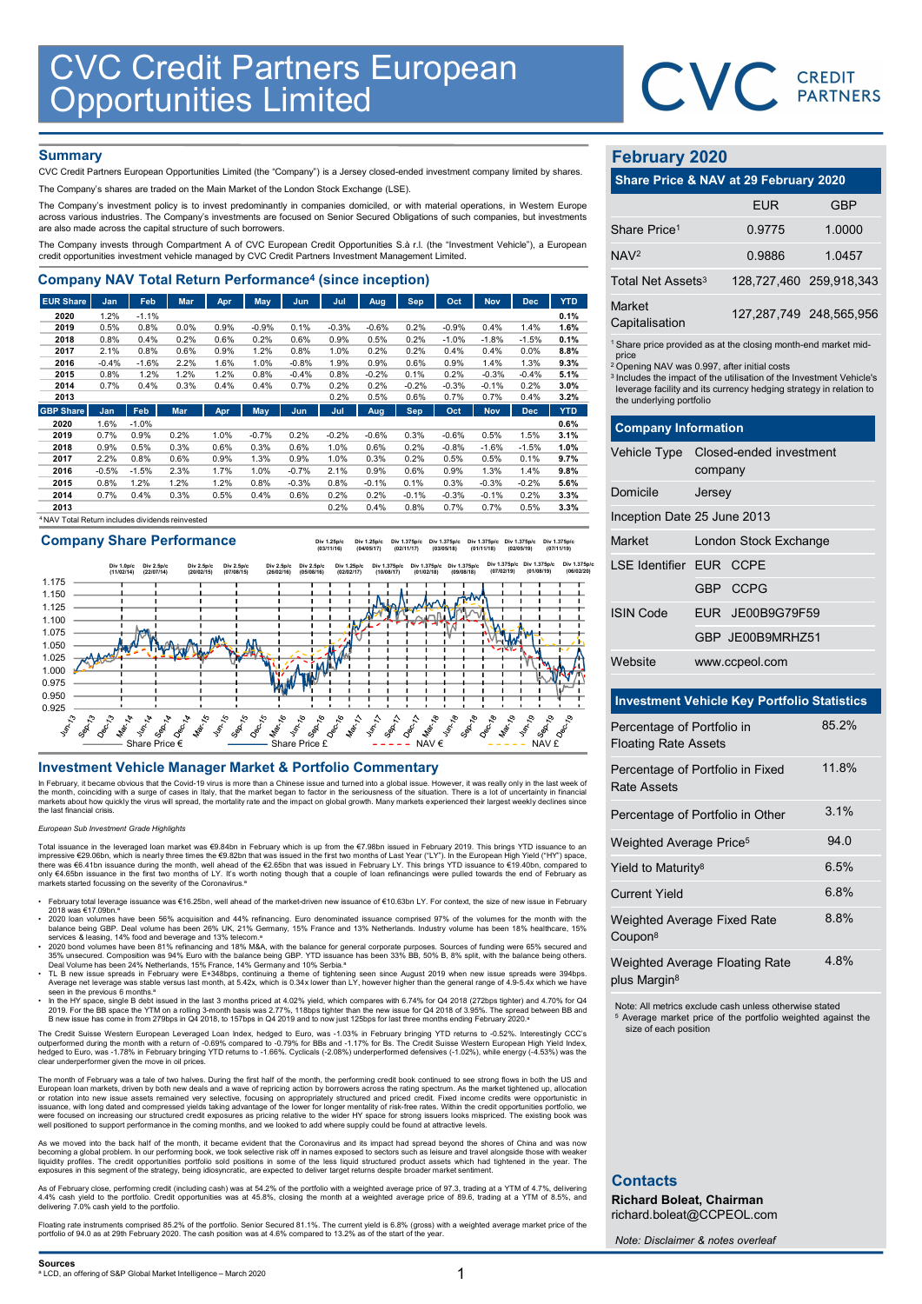

# **Summary**

| <b>CVC Credit Partners European<br/>Opportunities Limited</b>                                                                                                                                                                           |                 |                 |              |              |              |                    |              |                 |              |              |                 |                 |              |                               |                                                                                                                                                    |                        |
|-----------------------------------------------------------------------------------------------------------------------------------------------------------------------------------------------------------------------------------------|-----------------|-----------------|--------------|--------------|--------------|--------------------|--------------|-----------------|--------------|--------------|-----------------|-----------------|--------------|-------------------------------|----------------------------------------------------------------------------------------------------------------------------------------------------|------------------------|
|                                                                                                                                                                                                                                         |                 |                 |              |              |              |                    |              |                 |              |              |                 |                 |              |                               | <b>CVC</b> CREDIT                                                                                                                                  |                        |
|                                                                                                                                                                                                                                         |                 |                 |              |              |              |                    |              |                 |              |              |                 |                 |              |                               |                                                                                                                                                    |                        |
|                                                                                                                                                                                                                                         |                 |                 |              |              |              |                    |              |                 |              |              |                 |                 |              |                               |                                                                                                                                                    |                        |
| <b>Summary</b>                                                                                                                                                                                                                          |                 |                 |              |              |              |                    |              |                 |              |              |                 |                 |              | <b>February 2020</b>          |                                                                                                                                                    |                        |
| CVC Credit Partners European Opportunities Limited (the "Company") is a Jersey closed-ended investment company limited by shares.                                                                                                       |                 |                 |              |              |              |                    |              |                 |              |              |                 |                 |              |                               |                                                                                                                                                    |                        |
| The Company's shares are traded on the Main Market of the London Stock Exchange (LSE).                                                                                                                                                  |                 |                 |              |              |              |                    |              |                 |              |              |                 |                 |              |                               | Share Price & NAV at 29 February 2020                                                                                                              |                        |
| The Company's investment policy is to invest predominantly in companies domiciled, or with material operations, in Western Europe                                                                                                       |                 |                 |              |              |              |                    |              |                 |              |              |                 |                 |              |                               | <b>FUR</b>                                                                                                                                         | <b>GBP</b>             |
| across various industries. The Company's investments are focused on Senior Secured Obligations of such companies, but investments<br>are also made across the capital structure of such borrowers.                                      |                 |                 |              |              |              |                    |              |                 |              |              |                 |                 |              | Share Price <sup>1</sup>      | 0.9775                                                                                                                                             | 1.0000                 |
| The Company invests through Compartment A of CVC European Credit Opportunities S.à r.l. (the "Investment Vehicle"), a European<br>credit opportunities investment vehicle managed by CVC Credit Partners Investment Management Limited. |                 |                 |              |              |              |                    |              |                 |              |              |                 |                 |              | NAV <sup>2</sup>              | 0.9886                                                                                                                                             | 1.0457                 |
|                                                                                                                                                                                                                                         |                 |                 |              |              |              |                    |              |                 |              |              |                 |                 |              |                               |                                                                                                                                                    |                        |
| <b>Company NAV Total Return Performance<sup>4</sup> (since inception)</b>                                                                                                                                                               |                 |                 |              |              |              |                    |              |                 |              |              |                 |                 |              | Total Net Assets <sup>3</sup> |                                                                                                                                                    | 128,727,460 259,918,34 |
| <b>EUR Share</b>                                                                                                                                                                                                                        | Jan             | Feb             | Mar          | Apr          | <b>May</b>   | Jun                | Jul          | Aug             | Sep          | Oct          | <b>Nov</b>      | <b>Dec</b>      | <b>YTD</b>   | Market                        |                                                                                                                                                    | 127,287,749 248,565,95 |
| 2020<br>2019                                                                                                                                                                                                                            | 1.2%<br>0.5%    | $-1.1%$<br>0.8% | 0.0%         | 0.9%         | $-0.9%$      | 0.1%               | $-0.3%$      | $-0.6%$         | 0.2%         | $-0.9%$      | 0.4%            | 1.4%            | 0.1%<br>1.6% | Capitalisation                |                                                                                                                                                    |                        |
| 2018                                                                                                                                                                                                                                    | 0.8%            | 0.4%            | 0.2%         | 0.6%         | 0.2%         | 0.6%               | 0.9%         | 0.5%            | 0.2%         | $-1.0%$      | $-1.8%$         | $-1.5%$         | 0.1%         |                               | <sup>1</sup> Share price provided as at the closing month-end market mid                                                                           |                        |
| 2017                                                                                                                                                                                                                                    | 2.1%            | 0.8%            | 0.6%         | 0.9%         | 1.2%         | 0.8%               | 1.0%         | 0.2%            | 0.2%         | 0.4%         | 0.4%            | 0.0%            | 8.8%         | price                         |                                                                                                                                                    |                        |
| 2016<br>2015                                                                                                                                                                                                                            | $-0.4%$<br>0.8% | $-1.6%$<br>1.2% | 2.2%<br>1.2% | 1.6%<br>1.2% | 1.0%<br>0.8% | $-0.8%$<br>$-0.4%$ | 1.9%<br>0.8% | 0.9%<br>$-0.2%$ | 0.6%<br>0.1% | 0.9%<br>0.2% | 1.4%<br>$-0.3%$ | 1.3%<br>$-0.4%$ | 9.3%<br>5.1% |                               | <sup>2</sup> Opening NAV was 0.997, after initial costs                                                                                            |                        |
| 2014                                                                                                                                                                                                                                    | 0.7%            | 0.4%            | 0.3%         | 0.4%         | 0.4%         | 0.7%               | 0.2%         | 0.2%            | $-0.2%$      | $-0.3%$      | $-0.1%$         | 0.2%            | 3.0%         |                               | <sup>3</sup> Includes the impact of the utilisation of the Investment Vehicle<br>leverage facility and its currency hedging strategy in relation t |                        |
| 2013                                                                                                                                                                                                                                    |                 |                 |              |              |              |                    | 0.2%         | 0.5%            | 0.6%         | 0.7%         | 0.7%            | 0.4%            | 3.2%         | the underlying portfolio      |                                                                                                                                                    |                        |
| <b>GBP Share</b>                                                                                                                                                                                                                        | Jan             | Feb             | <b>Mar</b>   | Apr          | <b>May</b>   | Jun                | Jul          | Aug             | <b>Sep</b>   | Oct          | <b>Nov</b>      | <b>Dec</b>      | <b>YTD</b>   |                               |                                                                                                                                                    |                        |
| 2020                                                                                                                                                                                                                                    | 1.6%            | $-1.0%$         |              |              |              |                    |              |                 |              |              |                 |                 | 0.6%         | <b>Company Information</b>    |                                                                                                                                                    |                        |
| 2019                                                                                                                                                                                                                                    | 0.7%            | 0.9%            | 0.2%         | 1.0%         | $-0.7%$      | 0.2%               | $-0.2%$      | $-0.6%$         | 0.3%         | $-0.6%$      | 0.5%            | 1.5%            | 3.1%         |                               |                                                                                                                                                    |                        |
| 2018                                                                                                                                                                                                                                    | 0.9%            | 0.5%            | 0.3%         | 0.6%         | 0.3%         | 0.6%               | 1.0%         | 0.6%            | 0.2%         | $-0.8%$      | $-1.6%$         | $-1.5%$         | 1.0%         | <b>Vehicle Type</b>           | Closed-ended investment                                                                                                                            |                        |
| 2017<br>2016                                                                                                                                                                                                                            | 2.2%<br>$-0.5%$ | 0.8%<br>$-1.5%$ | 0.6%<br>2.3% | 0.9%<br>1.7% | 1.3%<br>1.0% | 0.9%<br>$-0.7%$    | 1.0%<br>2.1% | 0.3%<br>0.9%    | 0.2%<br>0.6% | 0.5%<br>0.9% | 0.5%<br>1.3%    | 0.1%<br>1.4%    | 9.7%<br>9.8% |                               | company                                                                                                                                            |                        |
| 2015                                                                                                                                                                                                                                    | 0.8%            | 1.2%            | 1.2%         | 1.2%         | 0.8%         | $-0.3%$            | 0.8%         | $-0.1%$         | 0.1%         | 0.3%         | $-0.3%$         | $-0.2%$         | 5.6%         |                               |                                                                                                                                                    |                        |
| 2014                                                                                                                                                                                                                                    | 0.7%            | 0.4%            | 0.3%         | 0.5%         | 0.4%         | 0.6%               | 0.2%         | 0.2%            | $-0.1%$      | $-0.3%$      | $-0.1%$         | 0.2%            | 3.3%         | Domicile                      | Jersey                                                                                                                                             |                        |
| 2013                                                                                                                                                                                                                                    |                 |                 |              |              |              |                    | 0.2%         | 0.4%            | 0.8%         | 0.7%         | 0.7%            | 0.5%            | 3.3%         |                               |                                                                                                                                                    |                        |
| NAV Total Return includes dividends reinvested                                                                                                                                                                                          |                 |                 |              |              |              |                    |              |                 |              |              |                 |                 |              | Inception Date 25 June 2013   |                                                                                                                                                    |                        |

# Company Share Performance

Div 1.25p/c (03/11/16) Div 1.25p/c (04/05/17) Div 1.375p/c (02/11/17) Div 1.375p/c (03/05/18) Div 1.375p/c (01/11/18) Div 1.375p/c (02/05/19) Div 1.375p/c (07/11/19)



In February, it became obvious that the Covid-19 virus is more than a Chinese issue and turned into a global issue. However, it was really only in the last week of<br>the month, coinciding with a surge of cases in Italy, that

## European Sub Investment Grade Highlights

Total issuance in the leveraged loan market was €9.84bn in February which is up from the €7.98bn issued in February 2019. This brings YTD issuance to an<br>impressive €29.06bn, which is nearly three times the €9.82bn that wa

- February total leverage issuance was €16.25bn, well ahead of the market-driven new issuance of €10.63bn LY. For context, the size of new issue in February 2018 was €17.09bn.<sup>a</sup>
- 2020 Ioan volumes have been 56% acquisition and 44% refinancing. Euro denominated issuance comprised 97% of the volumes for the month with the balance being GBP. Deal volume has been 26% UK, 21% Germany, 15% France and 13%
- 
- 
- seen in the previous 6 months.<sup>a</sup><br>• In the HY space, single B debt issued in the last 3 months priced at 4.02% yield, which compares with 6.74% for Q4 2018 (272bps tighter) and 4.70% for Q4 2019. For the BB space the YTM on a rolling 3-month basis was 2.77%, 118bps tighter than the new issue for Q4 2018 of 3.95%. The spread between BB and B new issue has come in from 279bps in Q4 2018, to 157bps in Q4 2019 and to now just 125bps for last three months ending February 2020.<sup>a</sup>

The Credit Suisse Western European Leveraged Loan Index, hedged to Euro, was -1.03% in February bringing YTD returns to -0.52%. Interestingly CCC's<br>outperformed during the month with a return of -0.69% ocmpared to -0.79% f clear underperformer given the move in oil prices.

The month of February was a tale of two halves. During the first half of the month, the performing credit book continued to see strong flows in both the US and European loan markets, driven by both new deals and a wave of repricing action by borrowers across the rating spectrum. As the market tightened up, allocation<br>or rotation into new issue assets remained very selective, focu

ed into the back half of the month, it became evident that the Coronavirus and its impact had spread beyond the shores of China and was now becoming a global problem. In our performing book, we took selective risk off in names exposed to sectors such as leisure and travel alongside those with weaker<br>liquidity profiles. The credit opportunities portfolio sold p

As of February close, performing credit (including cash) was at 54.2% of the portfolio with a weighted average price of 97.3, trading at a YTM of 4.7%, delivering<br>4.4% cash yield to the portfolio. Credit opportunities was delivering 7.0% cash yield to the portfolio.

Floating rate instruments comprised 85.2% of the portfolio. Senior Secured 81.1%. The current yield is 6.8% (gross) with a weighted average market price of the<br>portfolio of 94.0 as at 29th February 2020. The cash position

# February 2020

|                               | CVC CREDIT                                                                                                                                                                                                       |                         |
|-------------------------------|------------------------------------------------------------------------------------------------------------------------------------------------------------------------------------------------------------------|-------------------------|
|                               |                                                                                                                                                                                                                  |                         |
| <b>February 2020</b>          |                                                                                                                                                                                                                  |                         |
|                               | Share Price & NAV at 29 February 2020                                                                                                                                                                            |                         |
|                               | <b>EUR</b>                                                                                                                                                                                                       | <b>GBP</b>              |
| Share Price <sup>1</sup>      | 0.9775                                                                                                                                                                                                           | 1.0000                  |
| NAV <sup>2</sup>              | 0.9886                                                                                                                                                                                                           | 1.0457                  |
| Total Net Assets <sup>3</sup> | 128,727,460                                                                                                                                                                                                      | 259,918,343             |
| Market<br>Capitalisation      |                                                                                                                                                                                                                  | 127,287,749 248,565,956 |
| price                         | <sup>1</sup> Share price provided as at the closing month-end market mid-                                                                                                                                        |                         |
| the underlying portfolio      | <sup>2</sup> Opening NAV was 0.997, after initial costs<br><sup>3</sup> Includes the impact of the utilisation of the Investment Vehicle's<br>leverage facility and its currency hedging strategy in relation to |                         |
| <b>Company Information</b>    |                                                                                                                                                                                                                  |                         |
| Vehicle Type                  | Closed-ended investment                                                                                                                                                                                          |                         |
|                               | company                                                                                                                                                                                                          |                         |
| Domicile                      | Jersey                                                                                                                                                                                                           |                         |
|                               | Inception Date 25 June 2013                                                                                                                                                                                      |                         |
| Market                        | London Stock Exchange                                                                                                                                                                                            |                         |

|                                                           |                                                                                                                                                                                                                                                                                               | <b>PARTNERS</b>         |
|-----------------------------------------------------------|-----------------------------------------------------------------------------------------------------------------------------------------------------------------------------------------------------------------------------------------------------------------------------------------------|-------------------------|
| <b>February 2020</b>                                      |                                                                                                                                                                                                                                                                                               |                         |
|                                                           | Share Price & NAV at 29 February 2020                                                                                                                                                                                                                                                         |                         |
|                                                           | <b>EUR</b>                                                                                                                                                                                                                                                                                    | <b>GBP</b>              |
| Share Price <sup>1</sup>                                  | 0.9775                                                                                                                                                                                                                                                                                        | 1.0000                  |
| NAV <sup>2</sup>                                          | 0.9886                                                                                                                                                                                                                                                                                        | 1.0457                  |
| Total Net Assets <sup>3</sup>                             | 128,727,460                                                                                                                                                                                                                                                                                   | 259,918,343             |
| Market<br>Capitalisation                                  |                                                                                                                                                                                                                                                                                               | 127,287,749 248,565,956 |
| price<br>the underlying portfolio                         | <sup>1</sup> Share price provided as at the closing month-end market mid-<br><sup>2</sup> Opening NAV was 0.997, after initial costs<br><sup>3</sup> Includes the impact of the utilisation of the Investment Vehicle's<br>leverage facility and its currency hedging strategy in relation to |                         |
| <b>Company Information</b>                                |                                                                                                                                                                                                                                                                                               |                         |
|                                                           | Vehicle Type Closed-ended investment<br>company                                                                                                                                                                                                                                               |                         |
| Domicile                                                  | Jersey                                                                                                                                                                                                                                                                                        |                         |
|                                                           | Inception Date 25 June 2013                                                                                                                                                                                                                                                                   |                         |
| Market                                                    | London Stock Exchange                                                                                                                                                                                                                                                                         |                         |
| <b>LSE Identifier EUR CCPE</b>                            |                                                                                                                                                                                                                                                                                               |                         |
|                                                           | <b>GBP</b><br><b>CCPG</b>                                                                                                                                                                                                                                                                     |                         |
| <b>ISIN Code</b>                                          | EUR JE00B9G79F59                                                                                                                                                                                                                                                                              |                         |
|                                                           | GBP JE00B9MRHZ51                                                                                                                                                                                                                                                                              |                         |
| Website                                                   | www.ccpeol.com                                                                                                                                                                                                                                                                                |                         |
|                                                           | <b>Investment Vehicle Key Portfolio Statistics</b>                                                                                                                                                                                                                                            |                         |
| Percentage of Portfolio in<br><b>Floating Rate Assets</b> |                                                                                                                                                                                                                                                                                               | 85.2%                   |

# Investment Vehicle Key Portfolio Statistics

| Percentage of Portfolio in<br><b>Floating Rate Assets</b>         | 85.2% |
|-------------------------------------------------------------------|-------|
| Percentage of Portfolio in Fixed<br><b>Rate Assets</b>            | 11.8% |
| Percentage of Portfolio in Other                                  | 3.1%  |
| Weighted Average Price <sup>5</sup>                               | 94.0  |
| Yield to Maturity <sup>8</sup>                                    | 6.5%  |
| <b>Current Yield</b>                                              | 6.8%  |
| Weighted Average Fixed Rate<br>Coupon <sup>8</sup>                | 8.8%  |
| <b>Weighted Average Floating Rate</b><br>plus Margin <sup>8</sup> | 4.8%  |

Note: All metrics exclude cash unless otherwise stated Average market price of the portfolio weighted against the size of each position

# **Contacts**

Richard Boleat, Chairman richard.boleat@CCPEOL.com

Note: Disclaimer & notes overleaf